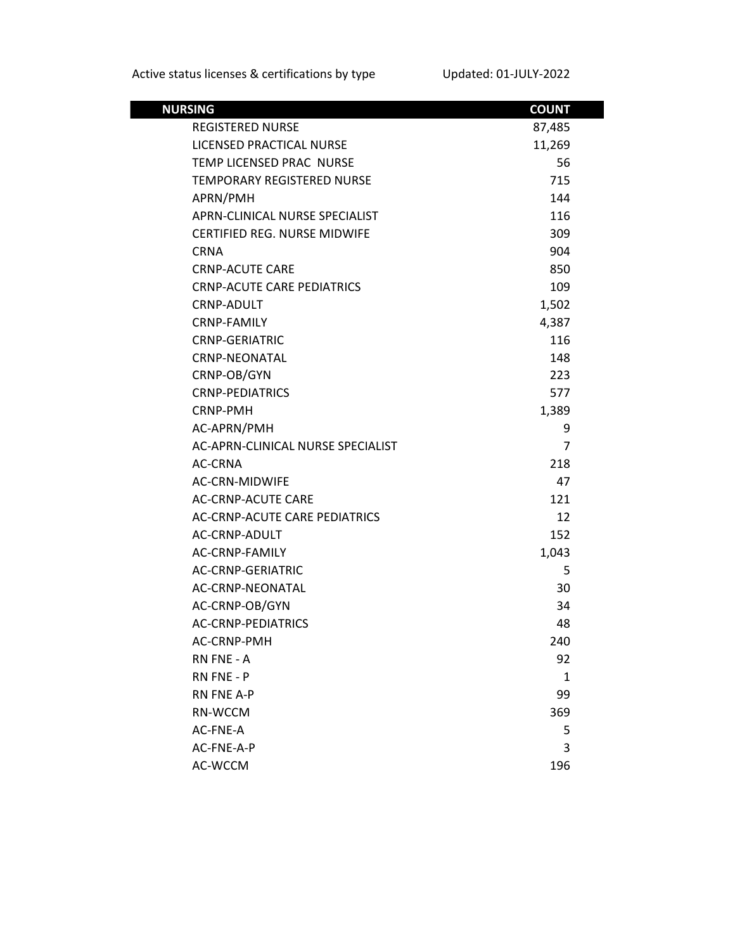| <b>NURSING</b>                       | <b>COUNT</b> |
|--------------------------------------|--------------|
| <b>REGISTERED NURSE</b>              | 87,485       |
| LICENSED PRACTICAL NURSE             | 11,269       |
| TEMP LICENSED PRAC NURSE             | 56           |
| <b>TEMPORARY REGISTERED NURSE</b>    | 715          |
| APRN/PMH                             | 144          |
| APRN-CLINICAL NURSE SPECIALIST       | 116          |
| <b>CERTIFIED REG. NURSE MIDWIFE</b>  | 309          |
| CRNA                                 | 904          |
| <b>CRNP-ACUTE CARE</b>               | 850          |
| <b>CRNP-ACUTE CARE PEDIATRICS</b>    | 109          |
| CRNP-ADULT                           | 1,502        |
| <b>CRNP-FAMILY</b>                   | 4,387        |
| <b>CRNP-GERIATRIC</b>                | 116          |
| <b>CRNP-NEONATAL</b>                 | 148          |
| CRNP-OB/GYN                          | 223          |
| <b>CRNP-PEDIATRICS</b>               | 577          |
| CRNP-PMH                             | 1,389        |
| AC-APRN/PMH                          | 9            |
| AC-APRN-CLINICAL NURSE SPECIALIST    | 7            |
| AC-CRNA                              | 218          |
| <b>AC-CRN-MIDWIFE</b>                | 47           |
| <b>AC-CRNP-ACUTE CARE</b>            | 121          |
| <b>AC-CRNP-ACUTE CARE PEDIATRICS</b> | 12           |
| AC-CRNP-ADULT                        | 152          |
| AC-CRNP-FAMILY                       | 1,043        |
| <b>AC-CRNP-GERIATRIC</b>             | 5            |
| AC-CRNP-NEONATAL                     | 30           |
| AC-CRNP-OB/GYN                       | 34           |
| <b>AC-CRNP-PEDIATRICS</b>            | 48           |
| AC-CRNP-PMH                          | 240          |
| RN FNE - A                           | 92           |
| RN FNE - P                           | 1            |
| <b>RN FNE A-P</b>                    | 99           |
| RN-WCCM                              | 369          |
| AC-FNE-A                             | 5            |
| AC-FNE-A-P                           | 3            |
| AC-WCCM                              | 196          |